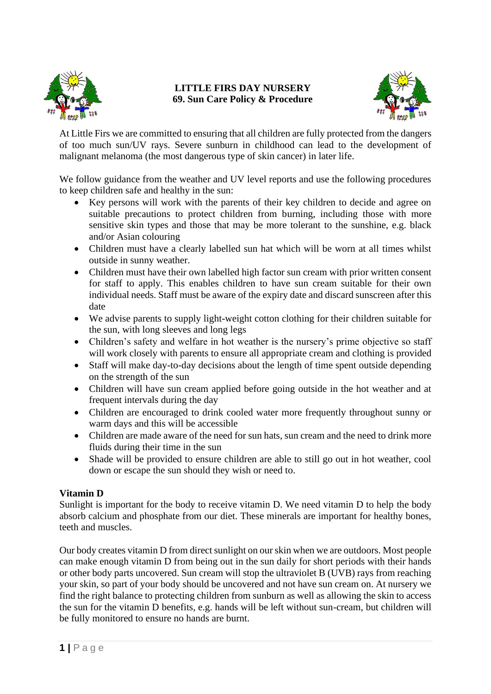

## **LITTLE FIRS DAY NURSERY 69. Sun Care Policy & Procedure**



At Little Firs we are committed to ensuring that all children are fully protected from the dangers of too much sun/UV rays. Severe sunburn in childhood can lead to the development of malignant melanoma (the most dangerous type of skin cancer) in later life.

We follow guidance from the weather and UV level reports and use the following procedures to keep children safe and healthy in the sun:

- Key persons will work with the parents of their key children to decide and agree on suitable precautions to protect children from burning, including those with more sensitive skin types and those that may be more tolerant to the sunshine, e.g. black and/or Asian colouring
- Children must have a clearly labelled sun hat which will be worn at all times whilst outside in sunny weather.
- Children must have their own labelled high factor sun cream with prior written consent for staff to apply. This enables children to have sun cream suitable for their own individual needs. Staff must be aware of the expiry date and discard sunscreen after this date
- We advise parents to supply light-weight cotton clothing for their children suitable for the sun, with long sleeves and long legs
- Children's safety and welfare in hot weather is the nursery's prime objective so staff will work closely with parents to ensure all appropriate cream and clothing is provided
- Staff will make day-to-day decisions about the length of time spent outside depending on the strength of the sun
- Children will have sun cream applied before going outside in the hot weather and at frequent intervals during the day
- Children are encouraged to drink cooled water more frequently throughout sunny or warm days and this will be accessible
- Children are made aware of the need for sun hats, sun cream and the need to drink more fluids during their time in the sun
- Shade will be provided to ensure children are able to still go out in hot weather, cool down or escape the sun should they wish or need to.

## **Vitamin D**

Sunlight is important for the body to receive vitamin D. We need vitamin D to help the body absorb calcium and phosphate from our diet. These minerals are important for healthy bones, teeth and muscles.

Our body creates vitamin D from direct sunlight on our skin when we are outdoors. Most people can make enough vitamin D from being out in the sun daily for short periods with their hands or other body parts uncovered. Sun cream will stop the ultraviolet B (UVB) rays from reaching your skin, so part of your body should be uncovered and not have sun cream on. At nursery we find the right balance to protecting children from sunburn as well as allowing the skin to access the sun for the vitamin D benefits, e.g. hands will be left without sun-cream, but children will be fully monitored to ensure no hands are burnt.